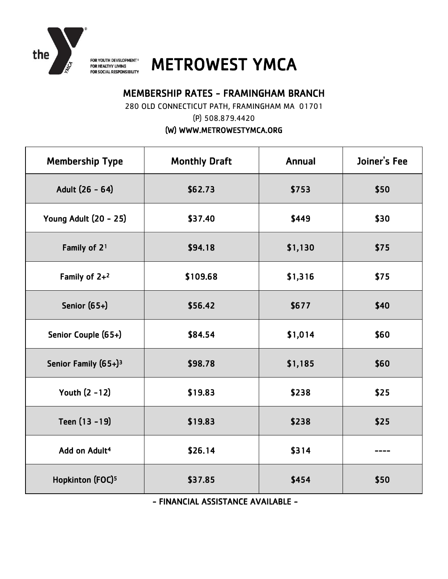

FOR YOUTH DEVELOPMENT<sup>®</sup> FOR HEALTHY LIVING FOR SOCIAL RESPONSIBILITY

# METROWEST YMCA

# MEMBERSHIP RATES - FRAMINGHAM BRANCH

280 OLD CONNECTICUT PATH, FRAMINGHAM MA 01701

(P) 508.879.4420

(W) WWW.METROWESTYMCA.ORG

| <b>Membership Type</b>           | <b>Monthly Draft</b><br>Annual |         | Joiner's Fee |
|----------------------------------|--------------------------------|---------|--------------|
| Adult (26 - 64)                  | \$62.73                        | \$753   | \$50         |
| <b>Young Adult (20 - 25)</b>     | \$449<br>\$37.40               |         | \$30         |
| Family of 2 <sup>1</sup>         | \$94.18                        | \$1,130 |              |
| Family of $2+2$                  | \$1,316<br>\$109.68            |         | \$75         |
| Senior (65+)                     | \$56.42                        | \$677   |              |
| Senior Couple (65+)              | \$84.54                        | \$1,014 | \$60         |
| Senior Family (65+) <sup>3</sup> | \$98.78                        | \$1,185 | \$60         |
| Youth (2 -12)                    | \$19.83                        | \$238   | \$25         |
| Teen (13 - 19)                   | \$19.83<br>\$238               |         | \$25         |
| Add on Adult <sup>4</sup>        | \$26.14                        | \$314   |              |
| Hopkinton (FOC) <sup>5</sup>     | \$454<br>\$37.85               |         | \$50         |

- FINANCIAL ASSISTANCE AVAILABLE -